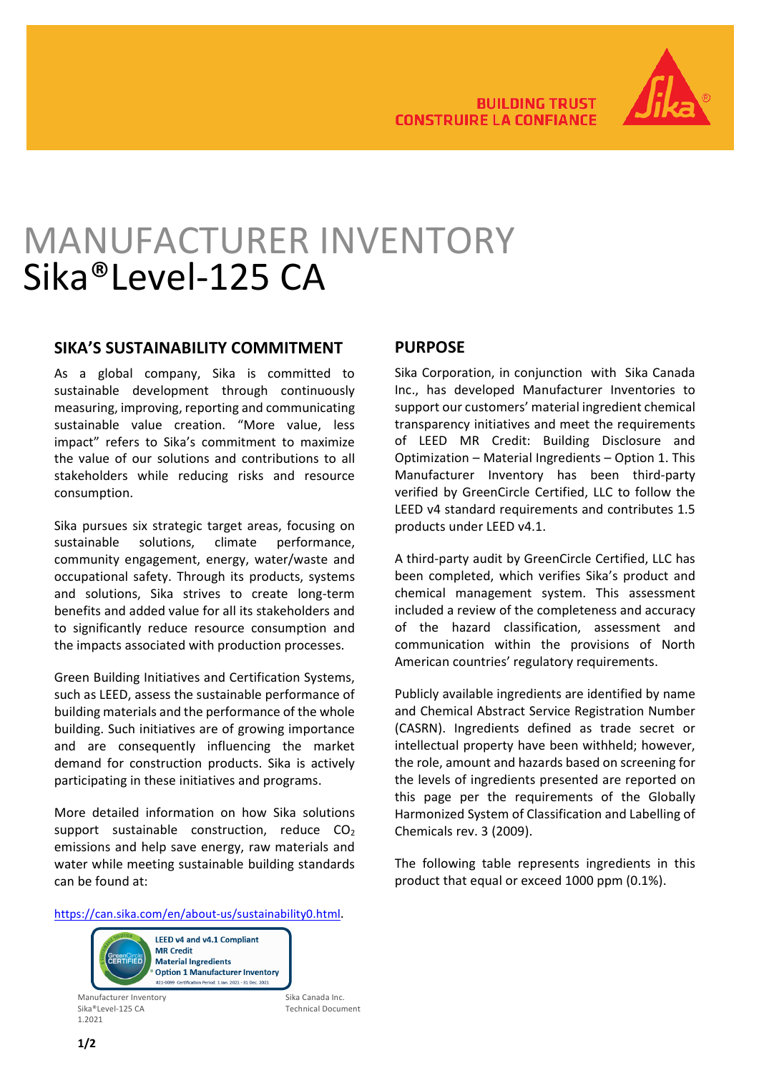

# MANUFACTURER INVENTORY Sika®Level-125 CA

#### **SIKA'S SUSTAINABILITY COMMITMENT**

As a global company, Sika is committed to sustainable development through continuously measuring, improving, reporting and communicating sustainable value creation. "More value, less impact" refers to Sika's commitment to maximize the value of our solutions and contributions to all stakeholders while reducing risks and resource consumption.

Sika pursues six strategic target areas, focusing on sustainable solutions, climate performance, community engagement, energy, water/waste and occupational safety. Through its products, systems and solutions, Sika strives to create long-term benefits and added value for all its stakeholders and to significantly reduce resource consumption and the impacts associated with production processes.

Green Building Initiatives and Certification Systems, such as LEED, assess the sustainable performance of building materials and the performance of the whole building. Such initiatives are of growing importance and are consequently influencing the market demand for construction products. Sika is actively participating in these initiatives and programs.

More detailed information on how Sika solutions support sustainable construction, reduce  $CO<sub>2</sub>$ emissions and help save energy, raw materials and water while meeting sustainable building standards can be found at:

### **PURPOSE**

Sika Corporation, in conjunction with Sika Canada Inc., has developed Manufacturer Inventories to support our customers' material ingredient chemical transparency initiatives and meet the requirements of LEED MR Credit: Building Disclosure and Optimization – Material Ingredients – Option 1. This Manufacturer Inventory has been third-party verified by GreenCircle Certified, LLC to follow the LEED v4 standard requirements and contributes 1.5 products under LEED v4.1.

A third-party audit by GreenCircle Certified, LLC has been completed, which verifies Sika's product and chemical management system. This assessment included a review of the completeness and accuracy of the hazard classification, assessment and communication within the provisions of North American countries' regulatory requirements.

Publicly available ingredients are identified by name and Chemical Abstract Service Registration Number (CASRN). Ingredients defined as trade secret or intellectual property have been withheld; however, the role, amount and hazards based on screening for the levels of ingredients presented are reported on this page per the requirements of the Globally Harmonized System of Classification and Labelling of Chemicals rev. 3 (2009).

The following table represents ingredients in this product that equal or exceed 1000 ppm (0.1%).

[https://can.sika.com/en/about-us/sustainability0.html.](https://can.sika.com/en/about-us/sustainability0.html)



Manufacturer Inventory<br>Sika ®Level-125 CA Sika Canada Inc.<br>Technical Docu 1.2021

Technical Document